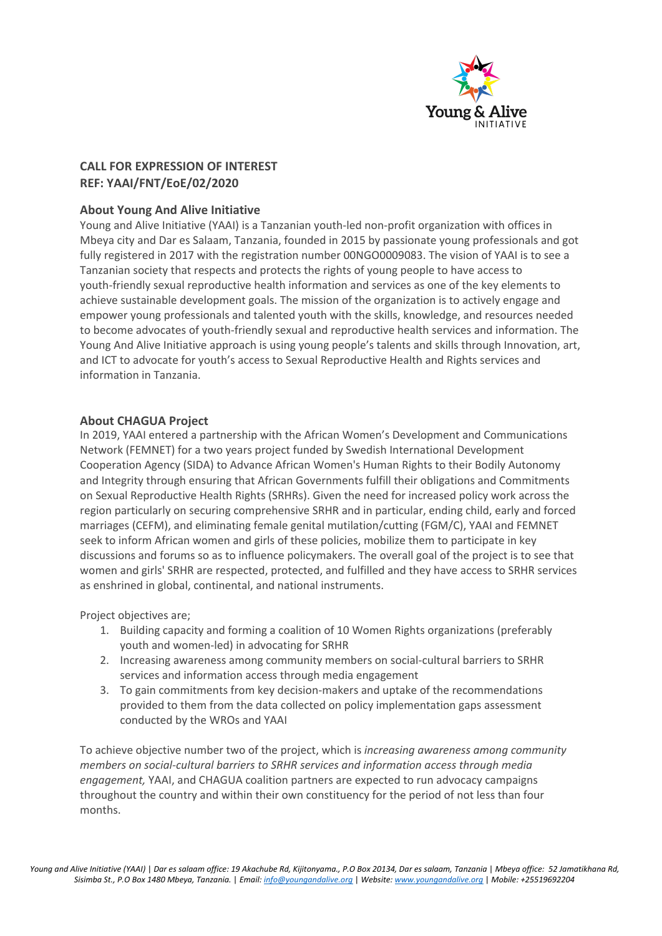

# **CALL FOR EXPRESSION OF INTEREST REF: YAAI/FNT/EoE/02/2020**

## **About Young And Alive Initiative**

Young and Alive Initiative (YAAI) is a Tanzanian youth-led non-profit organization with offices in Mbeya city and Dar es Salaam, Tanzania, founded in 2015 by passionate young professionals and got fully registered in 2017 with the registration number 00NGO0009083. The vision of YAAI is to see a Tanzanian society that respects and protects the rights of young people to have access to youth-friendly sexual reproductive health information and services as one of the key elements to achieve sustainable development goals. The mission of the organization is to actively engage and empower young professionals and talented youth with the skills, knowledge, and resources needed to become advocates of youth-friendly sexual and reproductive health services and information. The Young And Alive Initiative approach is using young people's talents and skills through Innovation, art, and ICT to advocate for youth's access to Sexual Reproductive Health and Rights services and information in Tanzania.

### **About CHAGUA Project**

In 2019, YAAI entered a partnership with the African Women's Development and Communications Network (FEMNET) for a two years project funded by Swedish International Development Cooperation Agency (SIDA) to Advance African Women's Human Rights to their Bodily Autonomy and Integrity through ensuring that African Governments fulfill their obligations and Commitments on Sexual Reproductive Health Rights (SRHRs). Given the need for increased policy work across the region particularly on securing comprehensive SRHR and in particular, ending child, early and forced marriages (CEFM), and eliminating female genital mutilation/cutting (FGM/C), YAAI and FEMNET seek to inform African women and girls of these policies, mobilize them to participate in key discussions and forums so as to influence policymakers. The overall goal of the project is to see that women and girls' SRHR are respected, protected, and fulfilled and they have access to SRHR services as enshrined in global, continental, and national instruments.

Project objectives are;

- 1. Building capacity and forming a coalition of 10 Women Rights organizations (preferably youth and women-led) in advocating for SRHR
- 2. Increasing awareness among community members on social-cultural barriers to SRHR services and information access through media engagement
- 3. To gain commitments from key decision-makers and uptake of the recommendations provided to them from the data collected on policy implementation gaps assessment conducted by the WROs and YAAI

To achieve objective number two of the project, which is *increasing awareness among community members on social-cultural barriers to SRHR services and information access through media engagement,* YAAI, and CHAGUA coalition partners are expected to run advocacy campaigns throughout the country and within their own constituency for the period of not less than four months.